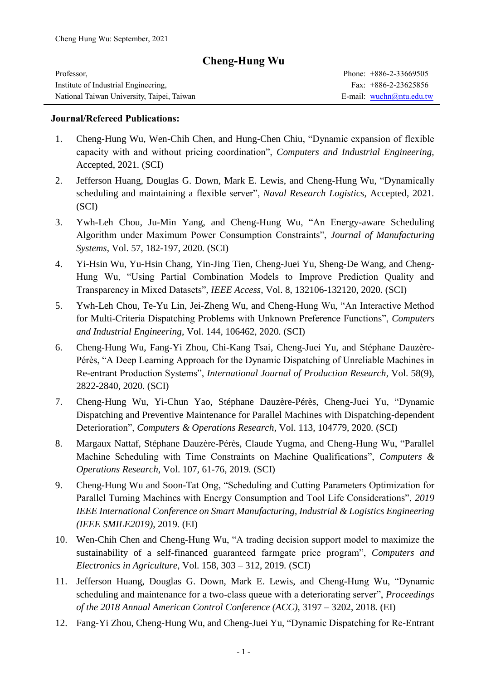## **Cheng-Hung Wu**

| Professor,                                 | Phone: $+886-2-33669505$   |
|--------------------------------------------|----------------------------|
| Institute of Industrial Engineering,       | Fax: $+886-2-23625856$     |
| National Taiwan University, Taipei, Taiwan | E-mail: $wuchn@ntu.edu.tw$ |

### **Journal/Refereed Publications:**

- 1. Cheng-Hung Wu, Wen-Chih Chen, and Hung-Chen Chiu, "Dynamic expansion of flexible capacity with and without pricing coordination", *Computers and Industrial Engineering,*  Accepted, 2021*.* (SCI)
- 2. Jefferson Huang, Douglas G. Down, Mark E. Lewis, and Cheng-Hung Wu, "Dynamically scheduling and maintaining a flexible server", *Naval Research Logistics*, Accepted, 2021*.* (SCI)
- 3. Ywh-Leh Chou, Ju-Min Yang, and Cheng-Hung Wu, "An Energy-aware Scheduling Algorithm under Maximum Power Consumption Constraints", *Journal of Manufacturing Systems*, Vol. 57, 182-197, 2020*.* (SCI)
- 4. Yi-Hsin Wu, Yu-Hsin Chang, Yin-Jing Tien, Cheng-Juei Yu, Sheng-De Wang, and Cheng-Hung Wu, "Using Partial Combination Models to Improve Prediction Quality and Transparency in Mixed Datasets", *IEEE Access*, Vol. 8, 132106-132120, 2020*.* (SCI)
- 5. Ywh-Leh Chou, Te-Yu Lin, Jei-Zheng Wu, and Cheng-Hung Wu, "An Interactive Method for Multi-Criteria Dispatching Problems with Unknown Preference Functions", *Computers and Industrial Engineering*, Vol. 144, 106462, 2020*.* (SCI)
- 6. Cheng-Hung Wu, Fang-Yi Zhou, Chi-Kang Tsai, Cheng-Juei Yu, and Stéphane Dauzère-Pérès, "A Deep Learning Approach for the Dynamic Dispatching of Unreliable Machines in Re-entrant Production Systems", *International Journal of Production Research*, Vol. 58(9), 2822-2840, 2020*.* (SCI)
- 7. Cheng-Hung Wu, Yi-Chun Yao, Stéphane Dauzère-Pérès, Cheng-Juei Yu, "Dynamic Dispatching and Preventive Maintenance for Parallel Machines with Dispatching-dependent Deterioration", *Computers & Operations Research*, Vol. 113, 104779, 2020*.* (SCI)
- 8. Margaux Nattaf, Stéphane Dauzère-Pérès, Claude Yugma, and Cheng-Hung Wu, "Parallel Machine Scheduling with Time Constraints on Machine Qualifications", *Computers & Operations Research*, Vol. 107, 61-76, 2019*.* (SCI)
- 9. Cheng-Hung Wu and Soon-Tat Ong, "Scheduling and Cutting Parameters Optimization for Parallel Turning Machines with Energy Consumption and Tool Life Considerations", *2019 IEEE International Conference on Smart Manufacturing, Industrial & Logistics Engineering (IEEE SMILE2019)*, 2019*.* (EI)
- 10. Wen-Chih Chen and Cheng-Hung Wu, "A trading decision support model to maximize the sustainability of a self-financed guaranteed farmgate price program", *Computers and Electronics in Agriculture*, Vol. 158, 303 – 312, 2019*.* (SCI)
- 11. Jefferson Huang, Douglas G. Down, Mark E. Lewis, and Cheng-Hung Wu, "Dynamic scheduling and maintenance for a two-class queue with a deteriorating server", *Proceedings of the 2018 Annual American Control Conference (ACC)*, 3197 – 3202, 2018*.* (EI)
- 12. Fang-Yi Zhou, Cheng-Hung Wu, and Cheng-Juei Yu, "Dynamic Dispatching for Re-Entrant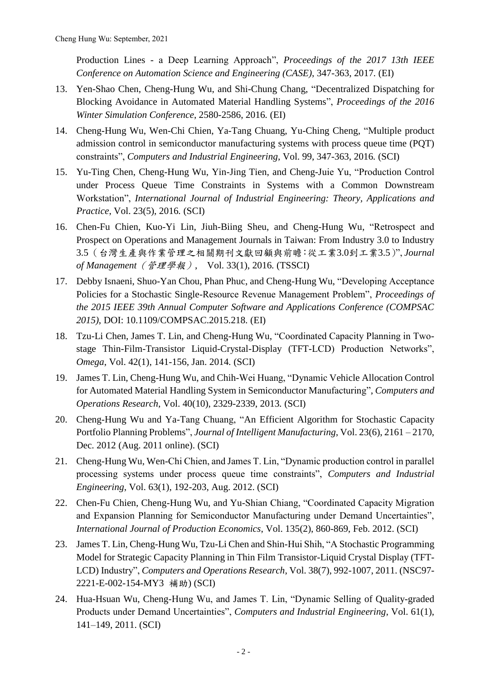Production Lines - a Deep Learning Approach", *Proceedings of the 2017 13th IEEE Conference on Automation Science and Engineering (CASE)*, 347-363, 2017*.* (EI)

- 13. Yen-Shao Chen, Cheng-Hung Wu, and Shi-Chung Chang, "Decentralized Dispatching for Blocking Avoidance in Automated Material Handling Systems", *Proceedings of the 2016 Winter Simulation Conference*, 2580-2586, 2016*.* (EI)
- 14. Cheng-Hung Wu, Wen-Chi Chien, Ya-Tang Chuang, Yu-Ching Cheng, "Multiple product admission control in semiconductor manufacturing systems with process queue time (PQT) constraints", *Computers and Industrial Engineering*, Vol. 99, 347-363, 2016*.* (SCI)
- 15. Yu-Ting Chen, Cheng-Hung Wu, Yin-Jing Tien, and Cheng-Juie Yu, "Production Control under Process Queue Time Constraints in Systems with a Common Downstream Workstation", *International Journal of Industrial Engineering: Theory, Applications and Practice*, Vol. 23(5), 2016*.* (SCI)
- 16. Chen-Fu Chien, Kuo-Yi Lin, Jiuh-Biing Sheu, and Cheng-Hung Wu, "Retrospect and Prospect on Operations and Management Journals in Taiwan: From Industry 3.0 to Industry 3.5(台灣生產與作業管理之相關期刊文獻回顧與前瞻:從工業3.0到工業3.5)", *Journal of Management*(管理學報), Vol. 33(1), 2016*.* (TSSCI)
- 17. Debby Isnaeni, Shuo-Yan Chou, Phan Phuc, and Cheng-Hung Wu, "Developing Acceptance Policies for a Stochastic Single-Resource Revenue Management Problem", *Proceedings of the 2015 IEEE 39th Annual Computer Software and Applications Conference (COMPSAC 2015)*, DOI: 10.1109/COMPSAC.2015.218*.* (EI)
- 18. Tzu-Li Chen, James T. Lin, and Cheng-Hung Wu, "Coordinated Capacity Planning in Twostage Thin-Film-Transistor Liquid-Crystal-Display (TFT-LCD) Production Networks", *Omega*, Vol. 42(1), 141-156, Jan. 2014*.* (SCI)
- 19. James T. Lin, Cheng-Hung Wu, and Chih-Wei Huang, "Dynamic Vehicle Allocation Control for Automated Material Handling System in Semiconductor Manufacturing", *Computers and Operations Research*, Vol. 40(10), 2329-2339, 2013*.* (SCI)
- 20. Cheng-Hung Wu and Ya-Tang Chuang, "An Efficient Algorithm for Stochastic Capacity Portfolio Planning Problems", *Journal of Intelligent Manufacturing*, Vol. 23(6), 2161 – 2170, Dec. 2012 (Aug. 2011 online). (SCI)
- 21. Cheng-Hung Wu, Wen-Chi Chien, and James T. Lin, "Dynamic production control in parallel processing systems under process queue time constraints", *Computers and Industrial Engineering*, Vol. 63(1), 192-203, Aug. 2012. (SCI)
- 22. Chen-Fu Chien, Cheng-Hung Wu, and Yu-Shian Chiang, "Coordinated Capacity Migration and Expansion Planning for Semiconductor Manufacturing under Demand Uncertainties", *International Journal of Production Economics*, Vol. 135(2), 860-869, Feb. 2012. (SCI)
- 23. James T. Lin, Cheng-Hung Wu, Tzu-Li Chen and Shin-Hui Shih, "A Stochastic Programming Model for Strategic Capacity Planning in Thin Film Transistor-Liquid Crystal Display (TFT-LCD) Industry", *Computers and Operations Research*, Vol. 38(7), 992-1007, 2011. (NSC97- 2221-E-002-154-MY3 補助) (SCI)
- 24. Hua-Hsuan Wu, Cheng-Hung Wu, and James T. Lin, "Dynamic Selling of Quality-graded Products under Demand Uncertainties", *Computers and Industrial Engineering*, Vol. 61(1), 141–149, 2011. (SCI)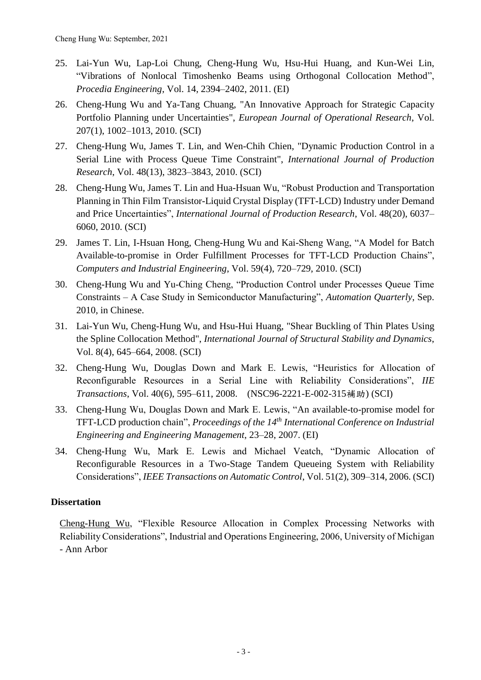- 25. Lai-Yun Wu, Lap-Loi Chung, Cheng-Hung Wu, Hsu-Hui Huang, and Kun-Wei Lin, "Vibrations of Nonlocal Timoshenko Beams using Orthogonal Collocation Method", *Procedia Engineering*, Vol. 14, 2394–2402, 2011. (EI)
- 26. Cheng-Hung Wu and Ya-Tang Chuang, "An Innovative Approach for Strategic Capacity Portfolio Planning under Uncertainties", *European Journal of Operational Research*, Vol. 207(1), 1002–1013, 2010. (SCI)
- 27. Cheng-Hung Wu, James T. Lin, and Wen-Chih Chien, "Dynamic Production Control in a Serial Line with Process Queue Time Constraint", *International Journal of Production Research*, Vol. 48(13), 3823–3843, 2010. (SCI)
- 28. Cheng-Hung Wu, James T. Lin and Hua-Hsuan Wu, "Robust Production and Transportation Planning in Thin Film Transistor-Liquid Crystal Display (TFT-LCD) Industry under Demand and Price Uncertainties", *International Journal of Production Research*, Vol. 48(20), 6037– 6060, 2010. (SCI)
- 29. James T. Lin, I-Hsuan Hong, Cheng-Hung Wu and Kai-Sheng Wang, "A Model for Batch Available-to-promise in Order Fulfillment Processes for TFT-LCD Production Chains", *Computers and Industrial Engineering*, Vol. 59(4), 720–729, 2010. (SCI)
- 30. Cheng-Hung Wu and Yu-Ching Cheng, "Production Control under Processes Queue Time Constraints – A Case Study in Semiconductor Manufacturing", *Automation Quarterly*, Sep. 2010, in Chinese.
- 31. Lai-Yun Wu, Cheng-Hung Wu, and Hsu-Hui Huang, "Shear Buckling of Thin Plates Using the Spline Collocation Method", *International Journal of Structural Stability and Dynamics*, Vol. 8(4), 645–664, 2008. (SCI)
- 32. Cheng-Hung Wu, Douglas Down and Mark E. Lewis, "Heuristics for Allocation of Reconfigurable Resources in a Serial Line with Reliability Considerations", *IIE Transactions*, Vol. 40(6), 595–611, 2008. (NSC96-2221-E-002-315補助) (SCI)
- 33. Cheng-Hung Wu, Douglas Down and Mark E. Lewis, "An available-to-promise model for TFT-LCD production chain", *Proceedings of the 14th International Conference on Industrial Engineering and Engineering Management*, 23–28, 2007. (EI)
- 34. Cheng-Hung Wu, Mark E. Lewis and Michael Veatch, "Dynamic Allocation of Reconfigurable Resources in a Two-Stage Tandem Queueing System with Reliability Considerations", *IEEE Transactions on Automatic Control*, Vol. 51(2), 309–314, 2006. (SCI)

## **Dissertation**

Cheng-Hung Wu, "Flexible Resource Allocation in Complex Processing Networks with Reliability Considerations", Industrial and Operations Engineering, 2006, University of Michigan - Ann Arbor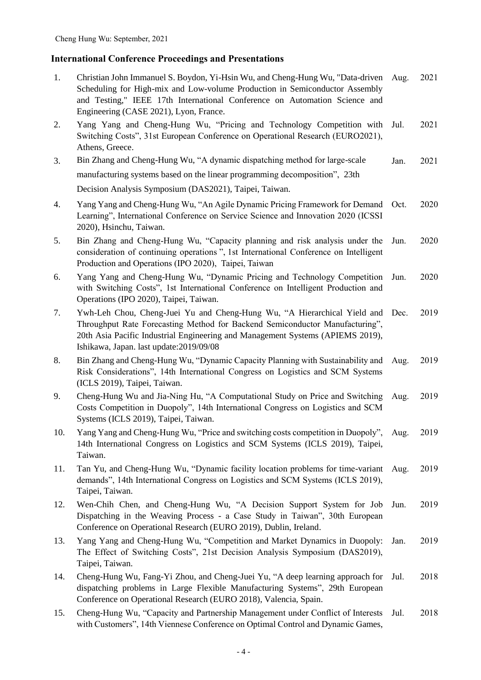# **International Conference Proceedings and Presentations**

| 1.  | Christian John Immanuel S. Boydon, Yi-Hsin Wu, and Cheng-Hung Wu, "Data-driven Aug.<br>Scheduling for High-mix and Low-volume Production in Semiconductor Assembly<br>and Testing," IEEE 17th International Conference on Automation Science and<br>Engineering (CASE 2021), Lyon, France. |      | 2021 |
|-----|--------------------------------------------------------------------------------------------------------------------------------------------------------------------------------------------------------------------------------------------------------------------------------------------|------|------|
| 2.  | Yang Yang and Cheng-Hung Wu, "Pricing and Technology Competition with Jul.<br>Switching Costs", 31st European Conference on Operational Research (EURO2021),<br>Athens, Greece.                                                                                                            |      | 2021 |
| 3.  | Bin Zhang and Cheng-Hung Wu, "A dynamic dispatching method for large-scale                                                                                                                                                                                                                 | Jan. | 2021 |
|     | manufacturing systems based on the linear programming decomposition", 23th                                                                                                                                                                                                                 |      |      |
|     | Decision Analysis Symposium (DAS2021), Taipei, Taiwan.                                                                                                                                                                                                                                     |      |      |
| 4.  | Yang Yang and Cheng-Hung Wu, "An Agile Dynamic Pricing Framework for Demand Oct.<br>Learning", International Conference on Service Science and Innovation 2020 (ICSSI<br>2020), Hsinchu, Taiwan.                                                                                           |      | 2020 |
| 5.  | Bin Zhang and Cheng-Hung Wu, "Capacity planning and risk analysis under the<br>consideration of continuing operations", 1st International Conference on Intelligent<br>Production and Operations (IPO 2020), Taipei, Taiwan                                                                | Jun. | 2020 |
| 6.  | Yang Yang and Cheng-Hung Wu, "Dynamic Pricing and Technology Competition<br>with Switching Costs", 1st International Conference on Intelligent Production and<br>Operations (IPO 2020), Taipei, Taiwan.                                                                                    | Jun. | 2020 |
| 7.  | Ywh-Leh Chou, Cheng-Juei Yu and Cheng-Hung Wu, "A Hierarchical Yield and<br>Throughput Rate Forecasting Method for Backend Semiconductor Manufacturing",<br>20th Asia Pacific Industrial Engineering and Management Systems (APIEMS 2019),<br>Ishikawa, Japan. last update: 2019/09/08     | Dec. | 2019 |
| 8.  | Bin Zhang and Cheng-Hung Wu, "Dynamic Capacity Planning with Sustainability and<br>Risk Considerations", 14th International Congress on Logistics and SCM Systems<br>(ICLS 2019), Taipei, Taiwan.                                                                                          | Aug. | 2019 |
| 9.  | Cheng-Hung Wu and Jia-Ning Hu, "A Computational Study on Price and Switching<br>Costs Competition in Duopoly", 14th International Congress on Logistics and SCM<br>Systems (ICLS 2019), Taipei, Taiwan.                                                                                    | Aug. | 2019 |
| 10. | Yang Yang and Cheng-Hung Wu, "Price and switching costs competition in Duopoly", Aug.<br>14th International Congress on Logistics and SCM Systems (ICLS 2019), Taipei,<br>Taiwan.                                                                                                          |      | 2019 |
| 11. | Tan Yu, and Cheng-Hung Wu, "Dynamic facility location problems for time-variant<br>demands", 14th International Congress on Logistics and SCM Systems (ICLS 2019),<br>Taipei, Taiwan.                                                                                                      | Aug. | 2019 |
| 12. | Wen-Chih Chen, and Cheng-Hung Wu, "A Decision Support System for Job<br>Dispatching in the Weaving Process - a Case Study in Taiwan", 30th European<br>Conference on Operational Research (EURO 2019), Dublin, Ireland.                                                                    | Jun. | 2019 |
| 13. | Yang Yang and Cheng-Hung Wu, "Competition and Market Dynamics in Duopoly:<br>The Effect of Switching Costs", 21st Decision Analysis Symposium (DAS2019),<br>Taipei, Taiwan.                                                                                                                | Jan. | 2019 |
| 14. | Cheng-Hung Wu, Fang-Yi Zhou, and Cheng-Juei Yu, "A deep learning approach for<br>dispatching problems in Large Flexible Manufacturing Systems", 29th European<br>Conference on Operational Research (EURO 2018), Valencia, Spain.                                                          | Jul. | 2018 |
| 15. | Cheng-Hung Wu, "Capacity and Partnership Management under Conflict of Interests<br>with Customers", 14th Viennese Conference on Optimal Control and Dynamic Games,                                                                                                                         | Jul. | 2018 |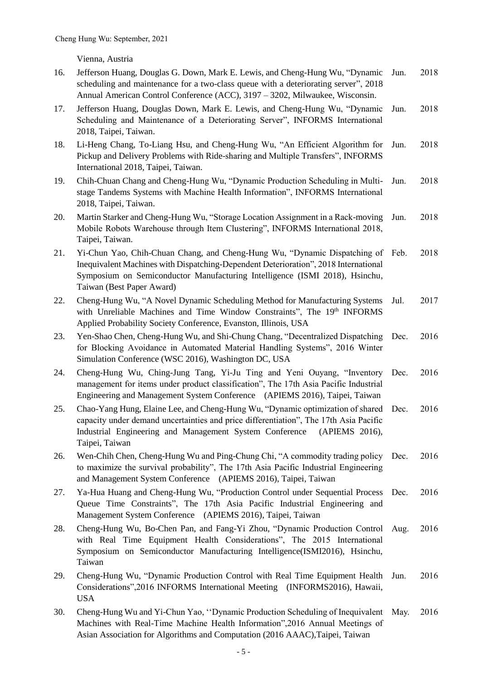Vienna, Austria

| 16. | Jefferson Huang, Douglas G. Down, Mark E. Lewis, and Cheng-Hung Wu, "Dynamic<br>scheduling and maintenance for a two-class queue with a deteriorating server", 2018<br>Annual American Control Conference (ACC), 3197 - 3202, Milwaukee, Wisconsin.                               | Jun. | 2018 |
|-----|-----------------------------------------------------------------------------------------------------------------------------------------------------------------------------------------------------------------------------------------------------------------------------------|------|------|
| 17. | Jefferson Huang, Douglas Down, Mark E. Lewis, and Cheng-Hung Wu, "Dynamic<br>Scheduling and Maintenance of a Deteriorating Server", INFORMS International<br>2018, Taipei, Taiwan.                                                                                                | Jun. | 2018 |
| 18. | Li-Heng Chang, To-Liang Hsu, and Cheng-Hung Wu, "An Efficient Algorithm for<br>Pickup and Delivery Problems with Ride-sharing and Multiple Transfers", INFORMS<br>International 2018, Taipei, Taiwan.                                                                             | Jun. | 2018 |
| 19. | Chih-Chuan Chang and Cheng-Hung Wu, "Dynamic Production Scheduling in Multi-<br>stage Tandems Systems with Machine Health Information", INFORMS International<br>2018, Taipei, Taiwan.                                                                                            | Jun. | 2018 |
| 20. | Martin Starker and Cheng-Hung Wu, "Storage Location Assignment in a Rack-moving<br>Mobile Robots Warehouse through Item Clustering", INFORMS International 2018,<br>Taipei, Taiwan.                                                                                               | Jun. | 2018 |
| 21. | Yi-Chun Yao, Chih-Chuan Chang, and Cheng-Hung Wu, "Dynamic Dispatching of Feb.<br>Inequivalent Machines with Dispatching-Dependent Deterioration", 2018 International<br>Symposium on Semiconductor Manufacturing Intelligence (ISMI 2018), Hsinchu,<br>Taiwan (Best Paper Award) |      | 2018 |
| 22. | Cheng-Hung Wu, "A Novel Dynamic Scheduling Method for Manufacturing Systems<br>with Unreliable Machines and Time Window Constraints", The 19th INFORMS<br>Applied Probability Society Conference, Evanston, Illinois, USA                                                         | Jul. | 2017 |
| 23. | Yen-Shao Chen, Cheng-Hung Wu, and Shi-Chung Chang, "Decentralized Dispatching<br>for Blocking Avoidance in Automated Material Handling Systems", 2016 Winter<br>Simulation Conference (WSC 2016), Washington DC, USA                                                              | Dec. | 2016 |
| 24. | Cheng-Hung Wu, Ching-Jung Tang, Yi-Ju Ting and Yeni Ouyang, "Inventory Dec.<br>management for items under product classification", The 17th Asia Pacific Industrial<br>Engineering and Management System Conference (APIEMS 2016), Taipei, Taiwan                                 |      | 2016 |
| 25. | Chao-Yang Hung, Elaine Lee, and Cheng-Hung Wu, "Dynamic optimization of shared<br>capacity under demand uncertainties and price differentiation", The 17th Asia Pacific<br>Industrial Engineering and Management System Conference<br>(APIEMS 2016),<br>Taipei, Taiwan            | Dec. | 2016 |
| 26. | Wen-Chih Chen, Cheng-Hung Wu and Ping-Chung Chi, "A commodity trading policy Dec.<br>to maximize the survival probability", The 17th Asia Pacific Industrial Engineering<br>and Management System Conference (APIEMS 2016), Taipei, Taiwan                                        |      | 2016 |
| 27. | Ya-Hua Huang and Cheng-Hung Wu, "Production Control under Sequential Process<br>Queue Time Constraints", The 17th Asia Pacific Industrial Engineering and<br>Management System Conference (APIEMS 2016), Taipei, Taiwan                                                           | Dec. | 2016 |
| 28. | Cheng-Hung Wu, Bo-Chen Pan, and Fang-Yi Zhou, "Dynamic Production Control<br>with Real Time Equipment Health Considerations", The 2015 International<br>Symposium on Semiconductor Manufacturing Intelligence(ISMI2016), Hsinchu,<br>Taiwan                                       | Aug. | 2016 |
| 29. | Cheng-Hung Wu, "Dynamic Production Control with Real Time Equipment Health<br>Considerations", 2016 INFORMS International Meeting (INFORMS2016), Hawaii,<br><b>USA</b>                                                                                                            | Jun. | 2016 |
| 30. | Cheng-Hung Wu and Yi-Chun Yao, "Dynamic Production Scheduling of Inequivalent May.<br>Machines with Real-Time Machine Health Information", 2016 Annual Meetings of                                                                                                                |      | 2016 |

Asian Association for Algorithms and Computation (2016 AAAC),Taipei, Taiwan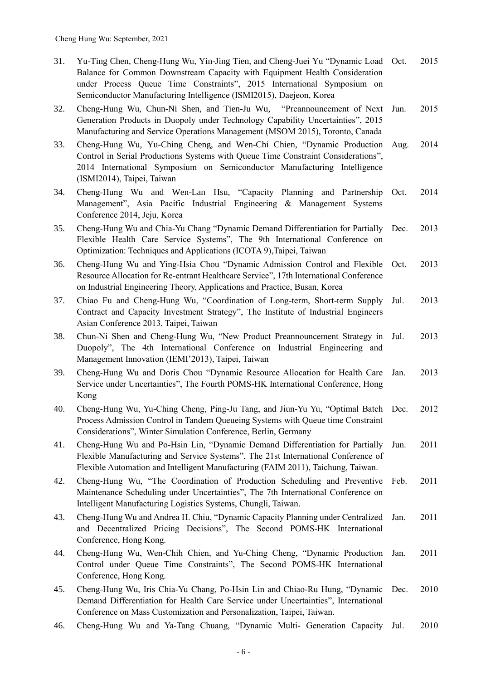- 31. Yu-Ting Chen, Cheng-Hung Wu, Yin-Jing Tien, and Cheng-Juei Yu "Dynamic Load Balance for Common Downstream Capacity with Equipment Health Consideration under Process Queue Time Constraints", 2015 International Symposium on Semiconductor Manufacturing Intelligence (ISMI2015), Daejeon, Korea 2015
- 32. Cheng-Hung Wu, Chun-Ni Shen, and Tien-Ju Wu, "Preannouncement of Next Generation Products in Duopoly under Technology Capability Uncertainties", 2015 Manufacturing and Service Operations Management (MSOM 2015), Toronto, Canada Jun. 2015
- 33. Cheng-Hung Wu, Yu-Ching Cheng, and Wen-Chi Chien, "Dynamic Production Control in Serial Productions Systems with Queue Time Constraint Considerations", 2014 International Symposium on Semiconductor Manufacturing Intelligence (ISMI2014), Taipei, Taiwan Aug. 2014
- 34. Cheng-Hung Wu and Wen-Lan Hsu, "Capacity Planning and Partnership Management", Asia Pacific Industrial Engineering & Management Systems Conference 2014, Jeju, Korea Oct. 2014
- 35. Cheng-Hung Wu and Chia-Yu Chang "Dynamic Demand Differentiation for Partially Flexible Health Care Service Systems", The 9th International Conference on Optimization: Techniques and Applications (ICOTA 9),Taipei, Taiwan Dec. 2013
- 36. Cheng-Hung Wu and Ying-Hsia Chou "Dynamic Admission Control and Flexible Resource Allocation for Re-entrant Healthcare Service", 17th International Conference on Industrial Engineering Theory, Applications and Practice, Busan, Korea Oct. 2013
- 37. Chiao Fu and Cheng-Hung Wu, "Coordination of Long-term, Short-term Supply Contract and Capacity Investment Strategy", The Institute of Industrial Engineers Asian Conference 2013, Taipei, Taiwan Jul. 2013
- 38. Chun-Ni Shen and Cheng-Hung Wu, "New Product Preannouncement Strategy in Duopoly", The 4th International Conference on Industrial Engineering and Management Innovation (IEMI'2013), Taipei, Taiwan Jul. 2013
- 39. Cheng-Hung Wu and Doris Chou "Dynamic Resource Allocation for Health Care Service under Uncertainties", The Fourth POMS-HK International Conference, Hong Kong Jan. 2013
- 40. Cheng-Hung Wu, Yu-Ching Cheng, Ping-Ju Tang, and Jiun-Yu Yu, "Optimal Batch Process Admission Control in Tandem Queueing Systems with Queue time Constraint Considerations", Winter Simulation Conference, Berlin, Germany Dec. 2012
- 41. Cheng-Hung Wu and Po-Hsin Lin, "Dynamic Demand Differentiation for Partially Flexible Manufacturing and Service Systems", The 21st International Conference of Flexible Automation and Intelligent Manufacturing (FAIM 2011), Taichung, Taiwan. Jun. 2011
- 42. Cheng-Hung Wu, "The Coordination of Production Scheduling and Preventive Feb. 2011 Maintenance Scheduling under Uncertainties", The 7th International Conference on Intelligent Manufacturing Logistics Systems, Chungli, Taiwan.
- 43. Cheng-Hung Wu and Andrea H. Chiu, "Dynamic Capacity Planning under Centralized and Decentralized Pricing Decisions", The Second POMS-HK International Conference, Hong Kong. Jan. 2011
- 44. Cheng-Hung Wu, Wen-Chih Chien, and Yu-Ching Cheng, "Dynamic Production Control under Queue Time Constraints", The Second POMS-HK International Conference, Hong Kong. Jan. 2011
- 45. Cheng-Hung Wu, Iris Chia-Yu Chang, Po-Hsin Lin and Chiao-Ru Hung, "Dynamic Demand Differentiation for Health Care Service under Uncertainties", International Conference on Mass Customization and Personalization, Taipei, Taiwan. Dec. 2010
- 46. Cheng-Hung Wu and Ya-Tang Chuang, "Dynamic Multi- Generation Capacity Jul. 2010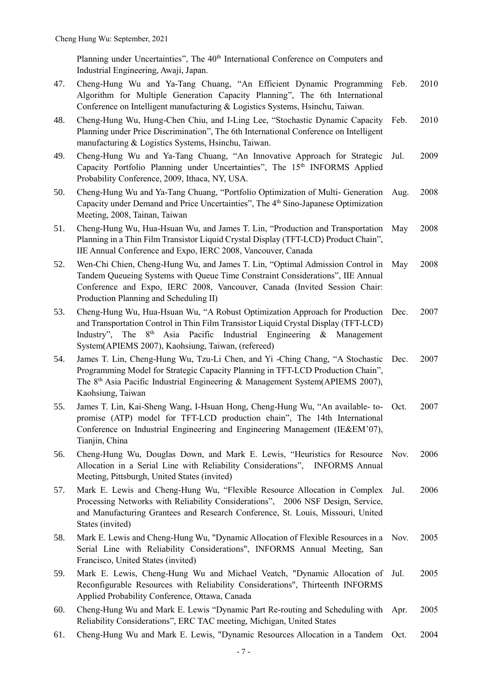Planning under Uncertainties", The 40<sup>th</sup> International Conference on Computers and Industrial Engineering, Awaji, Japan.

- 47. Cheng-Hung Wu and Ya-Tang Chuang, "An Efficient Dynamic Programming Algorithm for Multiple Generation Capacity Planning", The 6th International Conference on Intelligent manufacturing & Logistics Systems, Hsinchu, Taiwan. Feb. 2010
- 48. Cheng-Hung Wu, Hung-Chen Chiu, and I-Ling Lee, "Stochastic Dynamic Capacity Planning under Price Discrimination", The 6th International Conference on Intelligent manufacturing & Logistics Systems, Hsinchu, Taiwan. Feb. 2010
- 49. Cheng-Hung Wu and Ya-Tang Chuang, "An Innovative Approach for Strategic Capacity Portfolio Planning under Uncertainties", The 15<sup>th</sup> INFORMS Applied Probability Conference, 2009, Ithaca, NY, USA. Jul. 2009
- 50. Cheng-Hung Wu and Ya-Tang Chuang, "Portfolio Optimization of Multi- Generation Capacity under Demand and Price Uncertainties", The 4th Sino-Japanese Optimization Meeting, 2008, Tainan, Taiwan Aug. 2008
- 51. Cheng-Hung Wu, Hua-Hsuan Wu, and James T. Lin, "Production and Transportation Planning in a Thin Film Transistor Liquid Crystal Display (TFT-LCD) Product Chain", IIE Annual Conference and Expo, IERC 2008, Vancouver, Canada May 2008
- 52. Wen-Chi Chien, Cheng-Hung Wu, and James T. Lin, "Optimal Admission Control in Tandem Queueing Systems with Queue Time Constraint Considerations", IIE Annual Conference and Expo, IERC 2008, Vancouver, Canada (Invited Session Chair: Production Planning and Scheduling II) May 2008
- 53. Cheng-Hung Wu, Hua-Hsuan Wu, "A Robust Optimization Approach for Production Dec. 2007 and Transportation Control in Thin Film Transistor Liquid Crystal Display (TFT-LCD) Industry", The  $8<sup>th</sup>$  Asia Pacific Industrial Engineering & Management System(APIEMS 2007), Kaohsiung, Taiwan, (refereed)
- 54. James T. Lin, Cheng-Hung Wu, Tzu-Li Chen, and Yi -Ching Chang, "A Stochastic Dec. 2007 Programming Model for Strategic Capacity Planning in TFT-LCD Production Chain", The 8th Asia Pacific Industrial Engineering & Management System(APIEMS 2007), Kaohsiung, Taiwan
- 55. James T. Lin, Kai-Sheng Wang, I-Hsuan Hong, Cheng-Hung Wu, "An available- topromise (ATP) model for TFT-LCD production chain", The 14th International Conference on Industrial Engineering and Engineering Management (IE&EM'07), Tianjin, China Oct. 2007
- 56. Cheng-Hung Wu, Douglas Down, and Mark E. Lewis, "Heuristics for Resource Allocation in a Serial Line with Reliability Considerations", INFORMS Annual Meeting, Pittsburgh, United States (invited) Nov. 2006
- 57. Mark E. Lewis and Cheng-Hung Wu, "Flexible Resource Allocation in Complex Processing Networks with Reliability Considerations", 2006 NSF Design, Service, and Manufacturing Grantees and Research Conference, St. Louis, Missouri, United States (invited) Jul. 2006
- 58. Mark E. Lewis and Cheng-Hung Wu, "Dynamic Allocation of Flexible Resources in a Nov. 2005 Serial Line with Reliability Considerations", INFORMS Annual Meeting, San Francisco, United States (invited)
- 59. Mark E. Lewis, Cheng-Hung Wu and Michael Veatch, "Dynamic Allocation of Reconfigurable Resources with Reliability Considerations", Thirteenth INFORMS Applied Probability Conference, Ottawa, Canada 2005
- 60. Cheng-Hung Wu and Mark E. Lewis "Dynamic Part Re-routing and Scheduling with Reliability Considerations", ERC TAC meeting, Michigan, United States Apr. 2005
- 61. Cheng-Hung Wu and Mark E. Lewis, "Dynamic Resources Allocation in a Tandem Oct. 2004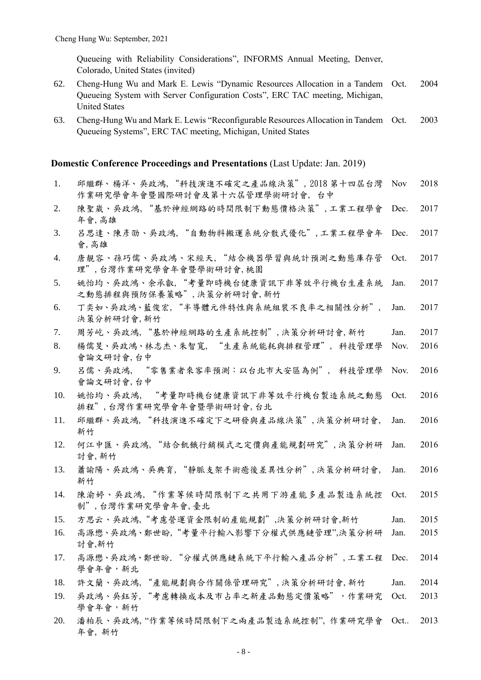Queueing with Reliability Considerations", INFORMS Annual Meeting, Denver, Colorado, United States (invited)

- 62. Cheng-Hung Wu and Mark E. Lewis "Dynamic Resources Allocation in a Tandem Queueing System with Server Configuration Costs", ERC TAC meeting, Michigan, United States 2004
- 63. Cheng-Hung Wu and Mark E. Lewis "Reconfigurable Resources Allocation in Tandem Queueing Systems", ERC TAC meeting, Michigan, United States 2003

#### **Domestic Conference Proceedings and Presentations** (Last Update: Jan. 2019)

- 1. 邱繼群、楊洋、吳政鴻,"科技演進不確定之產品線決策", 2018 第十四屆台灣 作業研究學會年會暨國際研討會及第十六屆管理學術研討會, 台中 Nov 2018
- 2. 陳聖崴、吳政鴻,"基於神經網路的時間限制下動態價格決策",工業工程學會 年會,高雄 Dec. 2017
- 3. 呂思達、陳彥劭、吳政鴻,"自動物料搬運系統分散式優化",工業工程學會年 會,高雄 Dec. 2017
- 4. 唐靚容、孫巧儒、吳政鴻、宋經天,"結合機器學習與統計預測之動態庫存管 理",台灣作業研究學會年會暨學術研討會,桃園 Oct. 2017
- 5. 姚怡均、吳政鴻、余承叡,"考量即時機台健康資訊下非等效平行機台生產系統 之動態排程與預防保養策略",決策分析研討會,新竹 Jan. 2017
- 6. 丁奕如、吳政鴻、藍俊宏,"半導體元件特性與系統組裝不良率之相關性分析", 決策分析研討會,新竹 Jan. 2017
- 7. 周周芳屹、吳政鴻,"基於神經網路的生產系統控制",決策分析研討會,新竹 Jan. 2017
- 8. 楊儒旻、吳政鴻、林志杰、朱智寬, "生產系統能耗與排程管理", 科技管理學 會論文研討會,台中 Nov. 2016
- 9. 呂儒、吳政鴻, "零售業者來客率預測:以台北市大安區為例", 科技管理學 會論文研討會,台中 Nov. 2016
- 10. 姚怡均、吳政鴻, "考量即時機台健康資訊下非等效平行機台製造系統之動態 排程",台灣作業研究學會年會暨學術研討會,台北 Oct. 2016
- 11. 邱繼群、吳政鴻,"科技演進不確定下之研發與產品線決策",決策分析研討會, 新竹 Jan. 2016
- 12. 何江中匯、吳政鴻,"結合飢餓行銷模式之定價與產能規劃研究",決策分析研 討會,新竹 Jan. 2016
- 13. 蕭蕭諭陽、吳政鴻、吳典育,"靜脈支架手術癒後差異性分析",決策分析研討會, 新竹 Jan. 2016
- 14. 陳渝婷、吳政鴻,"作業等候時間限制下之共用下游產能多產品製造系統控 制",台灣作業研究學會年會,臺北 Oct. 2015
- 15. 方思云、吳政鴻,"考慮營運資金限制的產能規劃",決策分析研討會,新竹 Jan. 2015
- 16. 高源懋、吳政鴻、鄭世盼,"考量平行輸入影響下分權式供應鏈管理",決策分析研 討會,新竹 Jan. 2015
- 17. 高源懋、吳政鴻、鄭世昐."分權式供應鏈系統下平行輸入產品分析",工業工程 Dec. 2014 學會年會,新北
- 18. 許文蘭、吳政鴻,"產能規劃與合作關係管理研究",決策分析研討會,新竹 Jan. 2014
- 19. 吴政鴻、吳鈺芳, "考慮轉換成本及市占率之新產品動態定價策略",作業研究 學會年會,新竹 Oct. 2013
- 20. 潘柏辰、吳政鴻, "作業等候時間限制下之兩產品製造系統控制", 作業研究學會 Oct.. 2013年會, 新竹